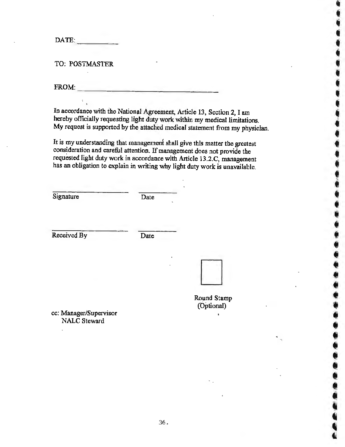$\mathbf{DATE:}$ 

TO: POSTMASTER

 $\textbf{FROM:}$ 

In accordance with the National Agreement, Article 13, Section 2, I am hereby officially requesting light duty work within my medical limitations. My request is supported by the attached medical statement from my physician.

It is my understanding that management shall give this matter the greatest consideration and careful attention. If management does not provide the requested light duty work in accordance with Article 13.2.C, management has an obligation to explain in writing why light duty work is unavailable.

**Signature** 

Date

Received By

Date



Round Stamp (Optional)

\

' **. . . . .** 

 $\ddot{\bullet}$ 

• • •

• ' • • • **4** 

' • • • • **t** 

• • • • • • • • • • **f** 

• • • • • **4** 

' .<br>' + + + +

**4i**  ~

cc: Manager/Supervisor NALC Steward